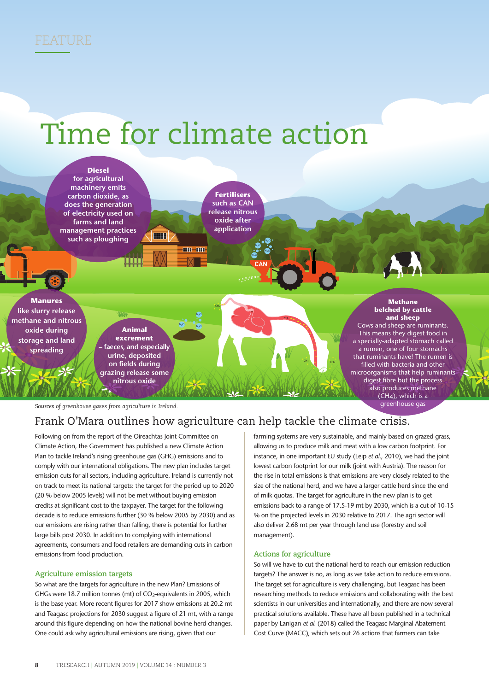

# Time for climate action



*Sources of greenhouse gases from agriculture in Ireland.*

## Frank O'Mara outlines how agriculture can help tackle the climate crisis.

Following on from the report of the Oireachtas Joint Committee on Climate Action, the Government has published a new Climate Action Plan to tackle Ireland's rising greenhouse gas (GHG) emissions and to comply with our international obligations. The new plan includes target emission cuts for all sectors, including agriculture. Ireland is currently not on track to meet its national targets: the target for the period up to 2020 (20 % below 2005 levels) will not be met without buying emission credits at significant cost to the taxpayer. The target for the following decade is to reduce emissions further (30 % below 2005 by 2030) and as our emissions are rising rather than falling, there is potential for further large bills post 2030. In addition to complying with international agreements, consumers and food retailers are demanding cuts in carbon emissions from food production.

#### **Agriculture emission targets**

So what are the targets for agriculture in the new Plan? Emissions of GHGs were 18.7 million tonnes (mt) of CO<sub>2</sub>-equivalents in 2005, which is the base year. More recent figures for 2017 show emissions at 20.2 mt and Teagasc projections for 2030 suggest a figure of 21 mt, with a range around this figure depending on how the national bovine herd changes. One could ask why agricultural emissions are rising, given that our

farming systems are very sustainable, and mainly based on grazed grass, allowing us to produce milk and meat with a low carbon footprint. For instance, in one important EU study (Leip *et al.*, 2010), we had the joint lowest carbon footprint for our milk (joint with Austria). The reason for the rise in total emissions is that emissions are very closely related to the size of the national herd, and we have a larger cattle herd since the end of milk quotas. The target for agriculture in the new plan is to get emissions back to a range of 17.5-19 mt by 2030, which is a cut of 10-15 % on the projected levels in 2030 relative to 2017. The agri sector will also deliver 2.68 mt per year through land use (forestry and soil management).

#### **Actions for agriculture**

So will we have to cut the national herd to reach our emission reduction targets? The answer is no, as long as we take action to reduce emissions. The target set for agriculture is very challenging, but Teagasc has been researching methods to reduce emissions and collaborating with the best scientists in our universities and internationally, and there are now several practical solutions available. These have all been published in a technical paper by Lanigan *et al.* (2018) called the Teagasc Marginal Abatement Cost Curve (MACC), which sets out 26 actions that farmers can take